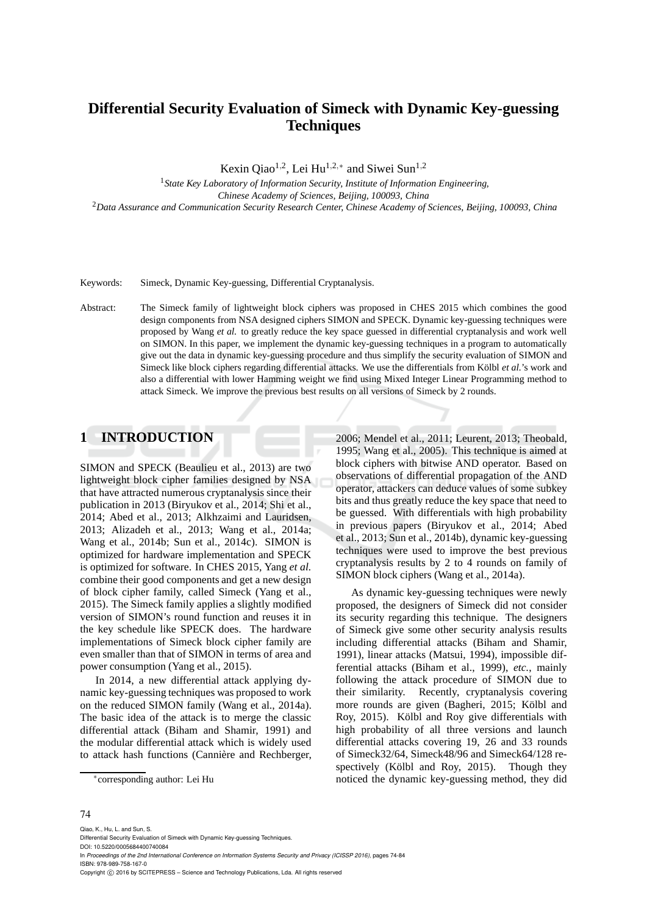# **Differential Security Evaluation of Simeck with Dynamic Key-guessing Techniques**

Kexin Qiao<sup>1,2</sup>, Lei Hu<sup>1,2,\*</sup> and Siwei Sun<sup>1,2</sup>

<sup>1</sup>*State Key Laboratory of Information Security, Institute of Information Engineering, Chinese Academy of Sciences, Beijing, 100093, China* <sup>2</sup>*Data Assurance and Communication Security Research Center, Chinese Academy of Sciences, Beijing, 100093, China*

Keywords: Simeck, Dynamic Key-guessing, Differential Cryptanalysis.

Abstract: The Simeck family of lightweight block ciphers was proposed in CHES 2015 which combines the good design components from NSA designed ciphers SIMON and SPECK. Dynamic key-guessing techniques were proposed by Wang *et al.* to greatly reduce the key space guessed in differential cryptanalysis and work well on SIMON. In this paper, we implement the dynamic key-guessing techniques in a program to automatically give out the data in dynamic key-guessing procedure and thus simplify the security evaluation of SIMON and Simeck like block ciphers regarding differential attacks. We use the differentials from Kölbl *et al.*'s work and also a differential with lower Hamming weight we find using Mixed Integer Linear Programming method to attack Simeck. We improve the previous best results on all versions of Simeck by 2 rounds.

# **1 INTRODUCTION**

SIMON and SPECK (Beaulieu et al., 2013) are two lightweight block cipher families designed by NSA that have attracted numerous cryptanalysis since their publication in 2013 (Biryukov et al., 2014; Shi et al., 2014; Abed et al., 2013; Alkhzaimi and Lauridsen, 2013; Alizadeh et al., 2013; Wang et al., 2014a; Wang et al., 2014b; Sun et al., 2014c). SIMON is optimized for hardware implementation and SPECK is optimized for software. In CHES 2015, Yang *et al.* combine their good components and get a new design of block cipher family, called Simeck (Yang et al., 2015). The Simeck family applies a slightly modified version of SIMON's round function and reuses it in the key schedule like SPECK does. The hardware implementations of Simeck block cipher family are even smaller than that of SIMON in terms of area and power consumption (Yang et al., 2015).

In 2014, a new differential attack applying dynamic key-guessing techniques was proposed to work on the reduced SIMON family (Wang et al., 2014a). The basic idea of the attack is to merge the classic differential attack (Biham and Shamir, 1991) and the modular differential attack which is widely used to attack hash functions (Cannière and Rechberger, 2006; Mendel et al., 2011; Leurent, 2013; Theobald, 1995; Wang et al., 2005). This technique is aimed at block ciphers with bitwise AND operator. Based on observations of differential propagation of the AND operator, attackers can deduce values of some subkey bits and thus greatly reduce the key space that need to be guessed. With differentials with high probability in previous papers (Biryukov et al., 2014; Abed et al., 2013; Sun et al., 2014b), dynamic key-guessing techniques were used to improve the best previous cryptanalysis results by 2 to 4 rounds on family of SIMON block ciphers (Wang et al., 2014a).

As dynamic key-guessing techniques were newly proposed, the designers of Simeck did not consider its security regarding this technique. The designers of Simeck give some other security analysis results including differential attacks (Biham and Shamir, 1991), linear attacks (Matsui, 1994), impossible differential attacks (Biham et al., 1999), *etc.*, mainly following the attack procedure of SIMON due to their similarity. Recently, cryptanalysis covering more rounds are given (Bagheri, 2015; Kölbl and Roy, 2015). Kölbl and Roy give differentials with high probability of all three versions and launch differential attacks covering 19, 26 and 33 rounds of Simeck32/64, Simeck48/96 and Simeck64/128 respectively (Kölbl and Roy, 2015). Though they noticed the dynamic key-guessing method, they did

#### 74

Qiao, K., Hu, L. and Sun, S.

DOI: 10.5220/0005684400740084

In *Proceedings of the 2nd International Conference on Information Systems Security and Privacy (ICISSP 2016)*, pages 74-84 ISBN: 978-989-758-167-0

Copyright © 2016 by SCITEPRESS - Science and Technology Publications, Lda. All rights reserved

<sup>∗</sup> corresponding author: Lei Hu

Differential Security Evaluation of Simeck with Dynamic Key-guessing Techniques.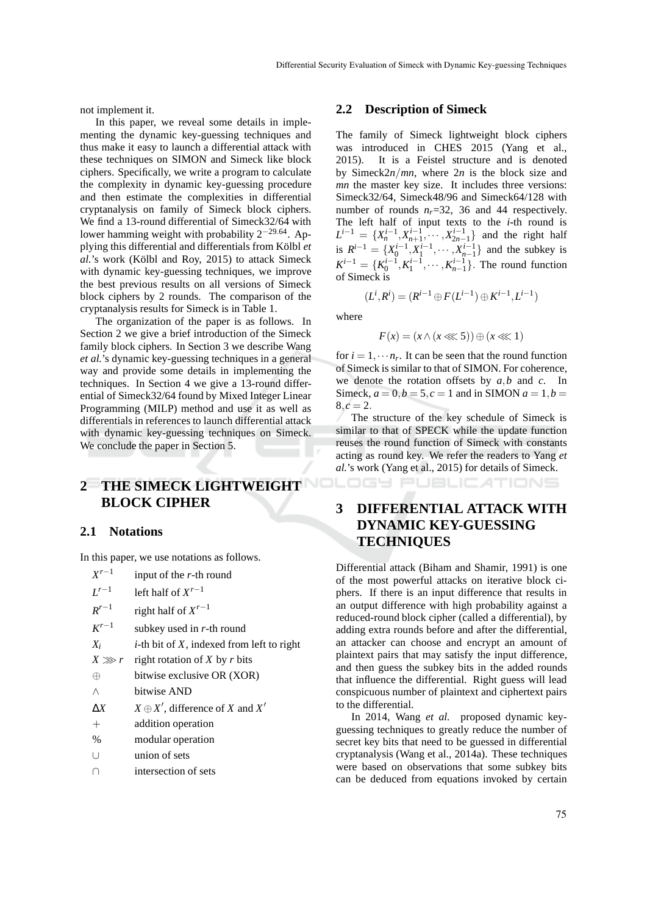not implement it.

In this paper, we reveal some details in implementing the dynamic key-guessing techniques and thus make it easy to launch a differential attack with these techniques on SIMON and Simeck like block ciphers. Specifically, we write a program to calculate the complexity in dynamic key-guessing procedure and then estimate the complexities in differential cryptanalysis on family of Simeck block ciphers. We find a 13-round differential of Simeck32/64 with lower hamming weight with probability  $2^{-29.64}$ . Applying this differential and differentials from Kölbl *et al.*'s work (Kölbl and Roy, 2015) to attack Simeck with dynamic key-guessing techniques, we improve the best previous results on all versions of Simeck block ciphers by 2 rounds. The comparison of the cryptanalysis results for Simeck is in Table 1.

The organization of the paper is as follows. In Section 2 we give a brief introduction of the Simeck family block ciphers. In Section 3 we describe Wang *et al.*'s dynamic key-guessing techniques in a general way and provide some details in implementing the techniques. In Section 4 we give a 13-round differential of Simeck32/64 found by Mixed Integer Linear Programming (MILP) method and use it as well as differentials in references to launch differential attack with dynamic key-guessing techniques on Simeck. We conclude the paper in Section 5.

# **2 THE SIMECK LIGHTWEIGHT BLOCK CIPHER**

#### **2.1 Notations**

In this paper, we use notations as follows.

| $X^{r-1}$  | input of the $r$ -th round                      |
|------------|-------------------------------------------------|
| $L^{r-1}$  | left half of $X^{r-1}$                          |
| $R^{r-1}$  | right half of $X^{r-1}$                         |
| $K^{r-1}$  | subkey used in $r$ -th round                    |
| $X_i$      | $i$ -th bit of $X$ , indexed from left to right |
|            | $X \gg r$ right rotation of X by r bits         |
| $\oplus$   | bitwise exclusive OR (XOR)                      |
| Λ          | bitwise AND                                     |
| $\Delta X$ | $X \oplus X'$ , difference of X and X'          |
| $^{+}$     | addition operation                              |
| $\%$       | modular operation                               |
| U          | union of sets                                   |
| ∩          | intersection of sets                            |
|            |                                                 |

#### **2.2 Description of Simeck**

The family of Simeck lightweight block ciphers was introduced in CHES 2015 (Yang et al., 2015). It is a Feistel structure and is denoted by Simeck2*n*/*mn*, where 2*n* is the block size and *mn* the master key size. It includes three versions: Simeck32/64, Simeck48/96 and Simeck64/128 with number of rounds  $n_r=32$ , 36 and 44 respectively. The left half of input texts to the *i*-th round is  $L^{i-1} = \{X_n^{i-1}, X_{n+1}^{i-1}, \cdots, X_{2n-1}^{i-1}\}$  and the right half is  $R^{i-1} = \{X_0^{i-1}, X_1^{i-1}, \cdots, X_{n-1}^{i-1}\}$  and the subkey is  $K^{i-1} = \{K_0^{i-1}, K_1^{i-1}, \cdots, K_{n-1}^{i-1}\}$ . The round function of Simeck is

$$
(L^i, R^i) = (R^{i-1} \oplus F(L^{i-1}) \oplus K^{i-1}, L^{i-1})
$$

where

$$
F(x) = (x \wedge (x \lll 5)) \oplus (x \lll 1)
$$

for  $i = 1, \dots, n_r$ . It can be seen that the round function of Simeck is similar to that of SIMON. For coherence, we denote the rotation offsets by *a*,*b* and *c*. In Simeck,  $a = 0, b = 5, c = 1$  and in SIMON  $a = 1, b = 1$  $8, c = 2.$ 

The structure of the key schedule of Simeck is similar to that of SPECK while the update function reuses the round function of Simeck with constants acting as round key. We refer the readers to Yang *et al.*'s work (Yang et al., 2015) for details of Simeck.

**PUBLICATIONS** 

# **3 DIFFERENTIAL ATTACK WITH DYNAMIC KEY-GUESSING TECHNIQUES**

Differential attack (Biham and Shamir, 1991) is one of the most powerful attacks on iterative block ciphers. If there is an input difference that results in an output difference with high probability against a reduced-round block cipher (called a differential), by adding extra rounds before and after the differential, an attacker can choose and encrypt an amount of plaintext pairs that may satisfy the input difference, and then guess the subkey bits in the added rounds that influence the differential. Right guess will lead conspicuous number of plaintext and ciphertext pairs to the differential.

In 2014, Wang *et al.* proposed dynamic keyguessing techniques to greatly reduce the number of secret key bits that need to be guessed in differential cryptanalysis (Wang et al., 2014a). These techniques were based on observations that some subkey bits can be deduced from equations invoked by certain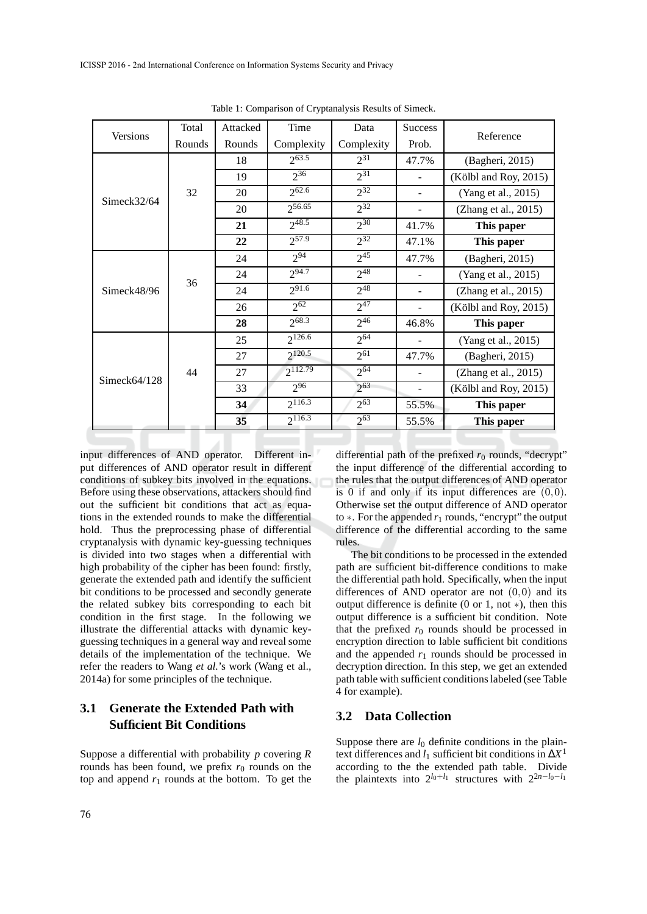|                 | Total  | Attacked | Time         | Data       | Success                  |                       |
|-----------------|--------|----------|--------------|------------|--------------------------|-----------------------|
| Versions        | Rounds | Rounds   | Complexity   | Complexity | Prob.                    | Reference             |
|                 |        | 18       | $2^{63.5}$   | $2^{31}$   | 47.7%                    | (Bagheri, 2015)       |
|                 |        | 19       | $2^{36}$     | $2^{31}$   |                          | (Kölbl and Roy, 2015) |
| Simeck $32/64$  | 32     | 20       | $2^{62.6}$   | $2^{32}$   |                          | (Yang et al., 2015)   |
|                 |        | 20       | $2^{56.65}$  | $2^{32}$   |                          | (Zhang et al., 2015)  |
|                 |        | 21       | $2^{48.5}$   | $2^{30}$   | 41.7%                    | This paper            |
|                 |        | 22       | $2^{57.9}$   | $2^{32}$   | 47.1%                    | This paper            |
|                 |        | 24       | 294          | $2^{45}$   | 47.7%                    | (Bagheri, 2015)       |
|                 | 36     | 24       | $2^{94.7}$   | $2^{48}$   |                          | (Yang et al., 2015)   |
| Simeck $48/96$  |        | 24       | $2^{91.6}$   | $2^{48}$   |                          | (Zhang et al., 2015)  |
|                 |        | 26       | $2^{62}$     | $2^{47}$   |                          | (Kölbl and Roy, 2015) |
|                 |        | 28       | $2^{68.3}$   | $2^{46}$   | 46.8%                    | This paper            |
|                 |        | 25       | $2^{126.6}$  | $2^{64}$   |                          | (Yang et al., 2015)   |
|                 |        | 27       | $2^{120.5}$  | $2^{61}$   | 47.7%                    | (Bagheri, 2015)       |
| Simeck $64/128$ | 44     | 27       | $2^{112.79}$ | $2^{64}$   |                          | (Zhang et al., 2015)  |
|                 |        | 33       | $2^{96}$     | $2^{63}$   | $\overline{\phantom{m}}$ | (Kölbl and Roy, 2015) |
|                 |        | 34       | $2^{116.3}$  | $2^{63}$   | 55.5%                    | This paper            |
|                 |        | 35       | $2^{116.3}$  | $2^{63}$   | 55.5%                    | This paper            |

Table 1: Comparison of Cryptanalysis Results of Simeck.

input differences of AND operator. Different input differences of AND operator result in different conditions of subkey bits involved in the equations. Before using these observations, attackers should find out the sufficient bit conditions that act as equations in the extended rounds to make the differential hold. Thus the preprocessing phase of differential cryptanalysis with dynamic key-guessing techniques is divided into two stages when a differential with high probability of the cipher has been found: firstly, generate the extended path and identify the sufficient bit conditions to be processed and secondly generate the related subkey bits corresponding to each bit condition in the first stage. In the following we illustrate the differential attacks with dynamic keyguessing techniques in a general way and reveal some details of the implementation of the technique. We refer the readers to Wang *et al.*'s work (Wang et al., 2014a) for some principles of the technique.

# **3.1 Generate the Extended Path with Sufficient Bit Conditions**

Suppose a differential with probability *p* covering *R* rounds has been found, we prefix  $r_0$  rounds on the top and append  $r_1$  rounds at the bottom. To get the

differential path of the prefixed  $r_0$  rounds, "decrypt" the input difference of the differential according to the rules that the output differences of AND operator is 0 if and only if its input differences are  $(0,0)$ . Otherwise set the output difference of AND operator to ∗. For the appended *r*<sup>1</sup> rounds, "encrypt" the output difference of the differential according to the same rules.

The bit conditions to be processed in the extended path are sufficient bit-difference conditions to make the differential path hold. Specifically, when the input differences of AND operator are not  $(0,0)$  and its output difference is definite (0 or 1, not ∗), then this output difference is a sufficient bit condition. Note that the prefixed  $r_0$  rounds should be processed in encryption direction to lable sufficient bit conditions and the appended  $r_1$  rounds should be processed in decryption direction. In this step, we get an extended path table with sufficient conditions labeled (see Table 4 for example).

#### **3.2 Data Collection**

Suppose there are  $l_0$  definite conditions in the plaintext differences and *l*<sup>1</sup> sufficient bit conditions in ∆*X* 1 according to the the extended path table. Divide the plaintexts into  $2^{l_0+l_1}$  structures with  $2^{2n-l_0-l_1}$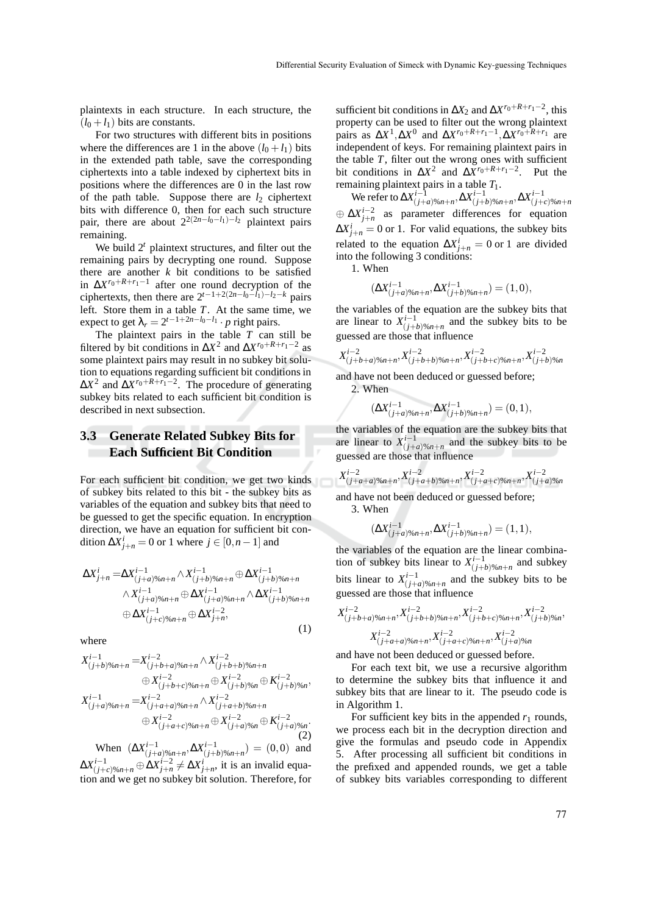plaintexts in each structure. In each structure, the  $(l_0 + l_1)$  bits are constants.

For two structures with different bits in positions where the differences are 1 in the above  $(l_0 + l_1)$  bits in the extended path table, save the corresponding ciphertexts into a table indexed by ciphertext bits in positions where the differences are 0 in the last row of the path table. Suppose there are  $l_2$  ciphertext bits with difference 0, then for each such structure pair, there are about  $2^{2(2n-l_0-l_1)-l_2}$  plaintext pairs remaining.

We build 2*<sup>t</sup>* plaintext structures, and filter out the remaining pairs by decrypting one round. Suppose there are another  $k$  bit conditions to be satisfied in  $\Delta X^{r_0 + R + r_1 - 1}$  after one round decryption of the ciphertexts, then there are  $2^{t-1+2(2n-l_0-l_1)-l_2-k}$  pairs left. Store them in a table *T*. At the same time, we expect to get  $\lambda_r = 2^{t-1+2n-l_0-l_1} \cdot p$  right pairs.

The plaintext pairs in the table *T* can still be filtered by bit conditions in  $\Delta X^2$  and  $\Delta X^{r_0+R+r_1-2}$  as some plaintext pairs may result in no subkey bit solution to equations regarding sufficient bit conditions in  $\Delta X^2$  and  $\Delta X^{r_0+R+r_1-2}$ . The procedure of generating subkey bits related to each sufficient bit condition is described in next subsection.

## **3.3 Generate Related Subkey Bits for Each Sufficient Bit Condition**

For each sufficient bit condition, we get two kinds of subkey bits related to this bit - the subkey bits as variables of the equation and subkey bits that need to be guessed to get the specific equation. In encryption direction, we have an equation for sufficient bit condition  $\Delta X^i_{j+n} = 0$  or 1 where  $j \in [0, n-1]$  and

$$
\Delta X_{j+n}^{i} = \Delta X_{(j+a) \% n+n}^{i-1} \wedge X_{(j+b) \% n+n}^{i-1} \oplus \Delta X_{(j+b) \% n+n}^{i-1}
$$
  
 
$$
\wedge X_{(j+a) \% n+n}^{i-1} \oplus \Delta X_{(j+a) \% n+n}^{i-1} \wedge \Delta X_{(j+b) \% n+n}^{i-1}
$$
  
\n
$$
\oplus \Delta X_{(j+c) \% n+n}^{i-1} \oplus \Delta X_{j+n}^{i-2},
$$
\n(1)

where

$$
X_{(j+b)}^{i-1} \otimes_{n+n} = X_{(j+b+a)\%n+n}^{i-2} \wedge X_{(j+b+b)\%n+n}^{i-2} \n\oplus X_{(j+b+c)\%n+n}^{i-2} \oplus X_{(j+b)\%n}^{i-2} \oplus K_{(j+b)\%n}^{i-2}, \nX_{(j+a)\%n+n}^{i-1} = X_{(j+a+a)\%n+n}^{i-2} \wedge X_{(j+a+b)\%n+n}^{i-2} \n\oplus X_{(j+a+c)\%n+n}^{i-2} \oplus X_{(j+a)\%n}^{i-2} \oplus K_{(j+a)\%n}^{i-2}.
$$
\n(2)

When  $(\Delta X^{i-1}_{(j+a) \% n+n}, \Delta X^{i-1}_{(j+b) \% n+n}) = (0,0)$  and  $\Delta X^{i-1}_{(j+c)%n+n}$  ⊕  $\Delta X^{i-2}_{j+n}$  ≠  $\Delta X^{i}_{j+n}$ , it is an invalid equation and we get no subkey bit solution. Therefore, for

sufficient bit conditions in  $\Delta X_2$  and  $\Delta X^{r_0+R+r_1-2}$ , this property can be used to filter out the wrong plaintext pairs as  $\Delta X^1$ ,  $\Delta X^0$  and  $\Delta X^{r_0+R+r_1-1}$ ,  $\Delta X^{r_0+R+r_1}$  are independent of keys. For remaining plaintext pairs in the table  $T$ , filter out the wrong ones with sufficient bit conditions in  $\Delta X^2$  and  $\Delta X^{r_0+R+r_1-2}$ . Put the remaining plaintext pairs in a table *T*1.

 ${\rm We}$  refer to  $\Delta X^{i-1}_{(j+a) \% n+n}$ ,  $\Delta X^{i-1}_{(j+b) \% n+n}$ ,  $\Delta X^{i-1}_{(j+c) \% n+n}$  $\oplus \Delta X_{j+n}^{i-2}$  as parameter differences for equation  $\Delta X^i_{j+n} = 0$  or 1. For valid equations, the subkey bits related to the equation  $\Delta X^i_{j+n} = 0$  or 1 are divided into the following 3 conditions:

1. When

$$
(\Delta X^{i-1}_{(j+a)\%n+n}, \Delta X^{i-1}_{(j+b)\%n+n}) = (1,0),
$$

the variables of the equation are the subkey bits that are linear to  $X^{i-1}_{(j+b) \% n+n}$  and the subkey bits to be guessed are those that influence

$$
X^{i-2}_{(j+b+a)\%n+n}, X^{i-2}_{(j+b+b)\%n+n}, X^{i-2}_{(j+b+c)\%n+n}, X^{i-2}_{(j+b)\%n}
$$

and have not been deduced or guessed before;

2. When

(∆*X*

$$
(\Delta X^{i-1}_{(j+a)\%n+n}, \Delta X^{i-1}_{(j+b)\%n+n}) = (0,1),
$$

the variables of the equation are the subkey bits that are linear to  $X^{i-1}_{(j+a) \% n+n}$  and the subkey bits to be guessed are those that influence

$$
X^{i-2}_{(j+a+a)\%n+n},X^{i-2}_{(j+a+b)\%n+n},X^{i-2}_{(j+a+c)\%n+n},X^{i-2}_{(j+a)\%n}
$$

and have not been deduced or guessed before; 3. When

$$
\Delta X_{(j+a)\%n+n}^{i-1}, \Delta X_{(j+b)\%n+n}^{i-1}) = (1,1),
$$

the variables of the equation are the linear combination of subkey bits linear to  $X^{i-1}_{(j+b)\%n+n}$  and subkey bits linear to  $X^{i-1}_{(j+a) \% n+n}$  and the subkey bits to be guessed are those that influence

$$
X^{i-2}_{(j+b+a)\%n+n}, X^{i-2}_{(j+b+b)\%n+n}, X^{i-2}_{(j+b+c)\%n+n}, X^{i-2}_{(j+b)\%n},
$$
  

$$
X^{i-2}_{(j+a+a)\%n+n}, X^{i-2}_{(j+a+c)\%n+n}, X^{i-2}_{(j+a)\%n}
$$

and have not been deduced or guessed before.

For each text bit, we use a recursive algorithm to determine the subkey bits that influence it and subkey bits that are linear to it. The pseudo code is in Algorithm 1.

For sufficient key bits in the appended  $r_1$  rounds, we process each bit in the decryption direction and give the formulas and pseudo code in Appendix 5. After processing all sufficient bit conditions in the prefixed and appended rounds, we get a table of subkey bits variables corresponding to different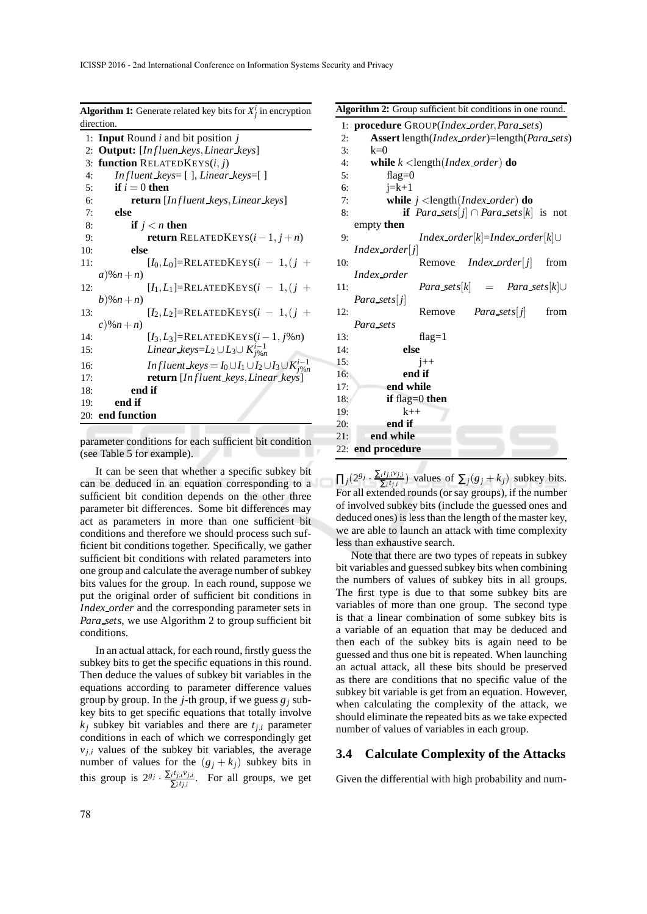| <b>Algorithm 1:</b> Generate related key bits for $X_i^i$ in encryption                        |
|------------------------------------------------------------------------------------------------|
| direction.                                                                                     |
| <b>Input</b> Round $i$ and bit position $j$<br>1:                                              |
| 2: Output: [Influen keys, Linear keys]                                                         |
| <b>function</b> RELATEDKEYS $(i, j)$<br>3:                                                     |
| In fluent keys= $\lceil \cdot \rceil$ , Linear keys= $\lceil \cdot \rceil$<br>4:               |
| if $i=0$ then<br>5:                                                                            |
| <b>return</b> [Influent_keys, Linear_keys]<br>6:                                               |
| else<br>7:                                                                                     |
| 8:<br>if $j < n$ then                                                                          |
| <b>return</b> RELATEDKEYS $(i-1, j+n)$<br>9:                                                   |
| else<br>10:                                                                                    |
| $[I_0, L_0]$ =RELATEDKEYS $(i - 1, (j +$<br>11:                                                |
| $a)$ % $n+n$                                                                                   |
| $[I_1, L_1]$ =RELATEDKEYS $(i - 1, (j +$<br>12:                                                |
| $b)$ % $n+n$                                                                                   |
| $[I_2, L_2]$ =RELATEDKEYS $(i - 1, (i +$<br>13:                                                |
| $c) \% n + n)$                                                                                 |
| $[I_3, L_3]$ =RELATEDKEYS $(i-1, j\%n)$<br>14:                                                 |
| Linear_keys=L <sub>2</sub> $\cup$ L <sub>3</sub> $\cup$ K <sup>i-1</sup> <sub>i%n</sub><br>15: |
| <i>Influent</i> $keys = I_0 \cup I_1 \cup I_2 \cup I_3 \cup K_{j\%n}^{i-1}$<br>16:             |
| return [Influent keys, Linear keys]<br>17:                                                     |
| end if<br>18:                                                                                  |
| end if<br>19:                                                                                  |
| 20: end function                                                                               |
|                                                                                                |

parameter conditions for each sufficient bit condition (see Table 5 for example).

It can be seen that whether a specific subkey bit can be deduced in an equation corresponding to a sufficient bit condition depends on the other three parameter bit differences. Some bit differences may act as parameters in more than one sufficient bit conditions and therefore we should process such sufficient bit conditions together. Specifically, we gather sufficient bit conditions with related parameters into one group and calculate the average number of subkey bits values for the group. In each round, suppose we put the original order of sufficient bit conditions in *Index order* and the corresponding parameter sets in *Para sets*, we use Algorithm 2 to group sufficient bit conditions.

In an actual attack, for each round, firstly guess the subkey bits to get the specific equations in this round. Then deduce the values of subkey bit variables in the equations according to parameter difference values group by group. In the *j*-th group, if we guess  $g_i$  subkey bits to get specific equations that totally involve  $k_i$  subkey bit variables and there are  $t_{i,i}$  parameter conditions in each of which we correspondingly get  $v_{j,i}$  values of the subkey bit variables, the average number of values for the  $(g_j + k_j)$  subkey bits in this group is  $2^{g_j} \cdot \frac{\sum_i t_{j,i}v_{j,i}}{\sum_i t_{j,i}}$  $\sum_{i}^{i} t_{j,i}^{i}$ . For all groups, we get

#### **Algorithm 2:** Group sufficient bit conditions in one round.

|     | 1: procedure GROUP(Index order, Para_sets)                                          |
|-----|-------------------------------------------------------------------------------------|
| 2:  | <b>Assert</b> length( <i>Index_order</i> )=length( <i>Para_sets</i> )               |
| 3:  | $k=0$                                                                               |
| 4:  | while $k$ < length ( <i>Index_order</i> ) <b>do</b>                                 |
| 5:  | flag= $0$                                                                           |
| 6:  | $i=k+1$                                                                             |
| 7:  | while $j$ <length (<i="">Index order) do</length>                                   |
| 8:  | <b>if</b> <i>Para_sets</i> [ <i>j</i> ] $\cap$ <i>Para_sets</i> [ <i>k</i> ] is not |
|     | empty <b>then</b>                                                                   |
| 9:  | $Index\_{order}[k]=Index\_{order}[k] \cup$                                          |
|     | $Index\_order[j]$                                                                   |
| 10: | Remove<br>$Index\,order j $<br>from                                                 |
|     | Index_order                                                                         |
| 11: | $Para\_sets[k] = Para\_sets[k] \cup$                                                |
|     | $Para\_sets[j]$                                                                     |
| 12: | Remove<br><i>Para sets</i> [j]<br>from                                              |
|     | Para_sets                                                                           |
| 13: | $flag=1$                                                                            |
| 14: | else                                                                                |
| 15: | $i++$                                                                               |
| 16: | end if                                                                              |
| 17: | end while                                                                           |
| 18: | if flag= $0$ then                                                                   |
| 19: | $k++$                                                                               |
| 20: | end if                                                                              |
| 21: | end while                                                                           |
|     | 22: end procedure                                                                   |
|     |                                                                                     |

 $\prod_j (2^{g_j} \cdot \frac{\sum_i t_{j,i}v_{j,i}}{\sum_i t_{j,i}})$  $\sum_{i}^{i} t_{j,i}^{i} v_{j,i}^{i}$  values of  $\sum_{j} (g_j + k_j)$  subkey bits. For all extended rounds (or say groups), if the number of involved subkey bits (include the guessed ones and deduced ones) is less than the length of the master key, we are able to launch an attack with time complexity less than exhaustive search.

Note that there are two types of repeats in subkey bit variables and guessed subkey bits when combining the numbers of values of subkey bits in all groups. The first type is due to that some subkey bits are variables of more than one group. The second type is that a linear combination of some subkey bits is a variable of an equation that may be deduced and then each of the subkey bits is again need to be guessed and thus one bit is repeated. When launching an actual attack, all these bits should be preserved as there are conditions that no specific value of the subkey bit variable is get from an equation. However, when calculating the complexity of the attack, we should eliminate the repeated bits as we take expected number of values of variables in each group.

## **3.4 Calculate Complexity of the Attacks**

Given the differential with high probability and num-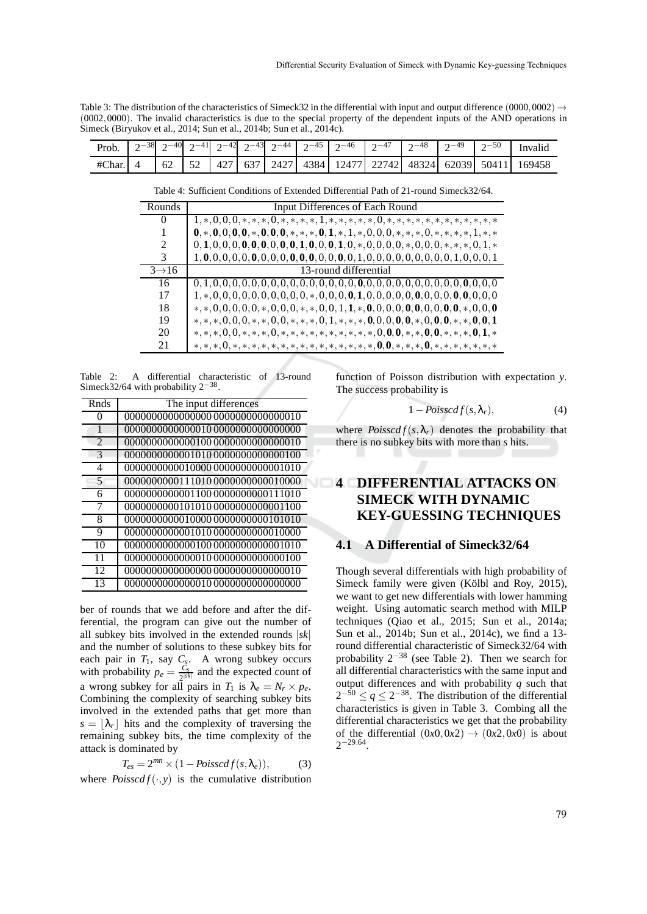Table 3: The distribution of the characteristics of Simeck32 in the differential with input and output difference (0000,0002)  $\rightarrow$ (0002,0000). The invalid characteristics is due to the special property of the dependent inputs of the AND operations in Simeck (Biryukov et al., 2014; Sun et al., 2014b; Sun et al., 2014c).

| Prob. $\begin{vmatrix} 2^{-38} & 2^{-40} & 2^{-41} & 2^{-42} & 2^{-43} & 2^{-44} & 2^{-45} & 2^{-46} & 2^{-47} & 2^{-48} & 2^{-49} & 2^{-50} \end{vmatrix}$ |  |  |  |  |  |  | Invalid                                                                                       |
|-------------------------------------------------------------------------------------------------------------------------------------------------------------|--|--|--|--|--|--|-----------------------------------------------------------------------------------------------|
|                                                                                                                                                             |  |  |  |  |  |  | #Char. 4   62   52   427   637   2427   4384   12477   22742   48324   62039   50411   169458 |

Table 4: Sufficient Conditions of Extended Differential Path of 21-round Simeck32/64.

| Rounds             | Input Differences of Each Round                                    |
|--------------------|--------------------------------------------------------------------|
| 0                  | $1,*,0,0,0,*,*,*,0,*,*,*,1,*,*,*,*,*,0,*,*,*,*,*,*,*,*,*,*,*,*,$   |
|                    |                                                                    |
| $\mathcal{L}$      |                                                                    |
| 3                  |                                                                    |
| $3 \rightarrow 16$ | 13-round differential                                              |
| 16                 |                                                                    |
| 17                 |                                                                    |
| 18                 |                                                                    |
| 19                 |                                                                    |
| 20                 | $*,*,*,0,0,*,*,*,0,*,*,*,*,*,*,*,*,*,*,0,0,0,*,*,0,0,*,*,*,0,1,*$  |
| 21                 | $*,*,*,0,*,*,*,*,*,*,*,*,*,*,*,*,*,*,*,*,0,0,*,*,*,*,*,*,*,*,*,*,$ |

Table 2: A differential characteristic of 13-round Simeck32/64 with probability  $2^{-38}$ .

| Rnds                     | The input differences              |
|--------------------------|------------------------------------|
| 0                        |                                    |
|                          | 0000000000000010 00000000000000000 |
| $\mathfrak{D}$           | 0000000000000100 0000000000000010  |
| $\mathcal{R}$            | 0000000000001010 00000000000000100 |
| 4                        | 0000000000010000 00000000000001010 |
| $\overline{\phantom{0}}$ | 0000000000111010 0000000000010000  |
| 6                        | 0000000000001100 0000000000111010  |
| 7                        | 0000000000101010 0000000000001100  |
| 8                        | 0000000000010000000000000000101010 |
| 9                        | 0000000000001010 0000000000010000  |
| 10                       | 0000000000000100 00000000000001010 |
| 11                       | 0000000000000010 00000000000000100 |
| 12                       |                                    |
| 13                       | 0000000000000010 00000000000000000 |

ber of rounds that we add before and after the differential, the program can give out the number of all subkey bits involved in the extended rounds |*sk*| and the number of solutions to these subkey bits for each pair in  $T_1$ , say  $C_g$ . A wrong subkey occurs with probability  $p_e = \frac{C_s}{2|s|}$  $\frac{C_s}{2^{|sk|}}$  and the expected count of a wrong subkey for all pairs in  $T_1$  is  $\lambda_e = N_r \times p_e$ . Combining the complexity of searching subkey bits involved in the extended paths that get more than  $s = |\lambda_r|$  hits and the complexity of traversing the remaining subkey bits, the time complexity of the attack is dominated by

$$
T_{es} = 2^{mn} \times (1 - Poisscdf(s, \lambda_e)), \tag{3}
$$

where  $Poisscdf(\cdot, y)$  is the cumulative distribution

function of Poisson distribution with expectation *y*. The success probability is

$$
1 - Poisscdf(s, \lambda_r), \tag{4}
$$

where  $Poisscdf(s, \lambda_r)$  denotes the probability that there is no subkey bits with more than *s* hits.

# **4 DIFFERENTIAL ATTACKS ON SIMECK WITH DYNAMIC KEY-GUESSING TECHNIQUES**

#### **4.1 A Differential of Simeck32/64**

Though several differentials with high probability of Simeck family were given (Kölbl and Roy, 2015), we want to get new differentials with lower hamming weight. Using automatic search method with MILP techniques (Qiao et al., 2015; Sun et al., 2014a; Sun et al., 2014b; Sun et al., 2014c), we find a 13 round differential characteristic of Simeck32/64 with probability  $2^{-38}$  (see Table 2). Then we search for all differential characteristics with the same input and output differences and with probability *q* such that  $2^{-50} \le q \le 2^{-38}$ . The distribution of the differential characteristics is given in Table 3. Combing all the differential characteristics we get that the probability of the differential  $(0x0,0x2) \rightarrow (0x2,0x0)$  is about  $2^{-29.64}$ .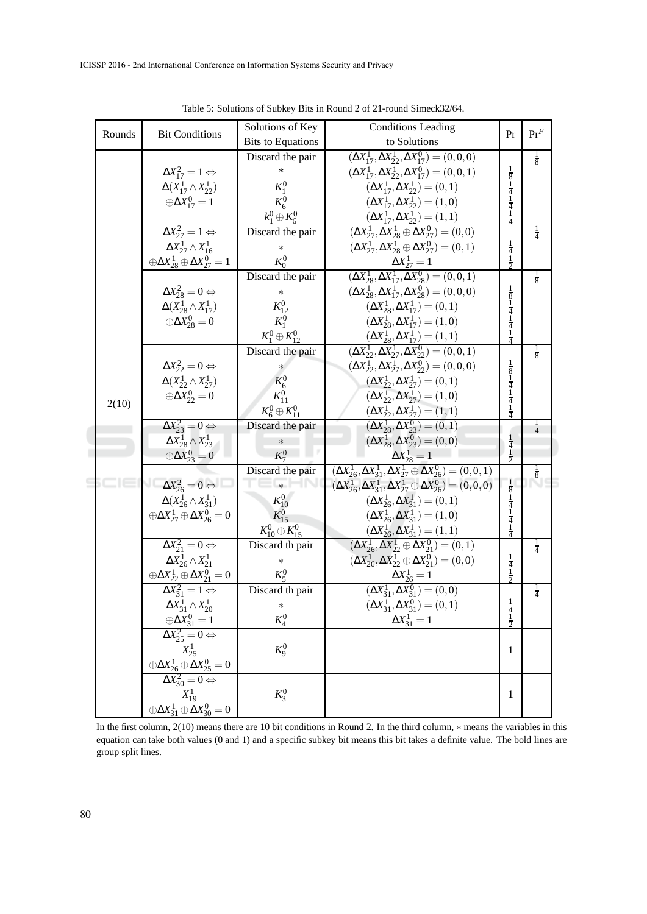| Rounds | <b>Bit Conditions</b>                                                                                       | Solutions of Key           | <b>Conditions Leading</b>                                                                                                                                  | Pr                                                                    | $Pr^F$        |
|--------|-------------------------------------------------------------------------------------------------------------|----------------------------|------------------------------------------------------------------------------------------------------------------------------------------------------------|-----------------------------------------------------------------------|---------------|
|        |                                                                                                             | <b>Bits to Equations</b>   | to Solutions                                                                                                                                               |                                                                       |               |
|        |                                                                                                             | Discard the pair           | $(\Delta X_{17}^1, \Delta X_{22}^1, \Delta X_{17}^0) = (0, 0, 0)$                                                                                          |                                                                       | $\frac{1}{8}$ |
|        | $\Delta X_{17}^2 = 1 \Leftrightarrow$                                                                       | *                          | $(\Delta X_{17}^1, \Delta X_{22}^1, \Delta X_{17}^0) = (0, 0, 1)$                                                                                          |                                                                       |               |
|        | $\Delta(X_{17}^1 \wedge X_{22}^1)$                                                                          | $K_1^0$                    | $(\Delta X_{17}^1, \Delta X_{22}^1) = (0, 1)$                                                                                                              | $\frac{1}{8}$ $\frac{1}{4}$ $\frac{1}{4}$ $\frac{1}{4}$               |               |
|        | $\oplus \Delta X_{17}^0 = 1$                                                                                | $K^0_6$                    | $(\Delta X_{17}^1, \Delta X_{22}^1) = (1,0)$                                                                                                               |                                                                       |               |
|        |                                                                                                             | $k_1^0 \oplus K_6^0$       | $(\Delta X_{17}^1, \Delta X_{22}^1) = (1, 1)$                                                                                                              |                                                                       |               |
|        | $\Delta X_{27}^2 = 1 \Leftrightarrow$                                                                       | Discard the pair           | $(\Delta X_{27}^1, \Delta X_{28}^1 \oplus \Delta X_{27}^0) = (0,0)$                                                                                        |                                                                       | $\frac{1}{4}$ |
|        | $\Delta X_{27}^1 \wedge X_{16}^1$                                                                           | $\ast$                     | $(\Delta X_{27}^1, \Delta X_{28}^1 \oplus \Delta X_{27}^0) = (0,1)$                                                                                        |                                                                       |               |
|        | $\oplus \Delta X^1_{28} \oplus \Delta X^0_{27} = 1$                                                         | $K_0^0$                    |                                                                                                                                                            | $\frac{1}{4}$<br>$\frac{1}{2}$                                        |               |
|        |                                                                                                             | Discard the pair           | $\frac{\Delta X^1_{27} = 1}{(\Delta X^1_{28}, \Delta X^1_{17}, \Delta X^0_{28}) = (0, 0, 1)}$                                                              |                                                                       | $\frac{1}{8}$ |
|        | $\Delta X_{28}^2 = 0 \Leftrightarrow$                                                                       |                            | $(\Delta X_{28}^1, \Delta X_{17}^1, \Delta X_{28}^0) = (0, 0, 0)$                                                                                          |                                                                       |               |
|        | $\Delta(X_{28}^1 \wedge X_{17}^1)$                                                                          | $K_{12}^0$                 | $(\Delta X_{28}^1, \Delta X_{17}^1) = (0, 1)$                                                                                                              |                                                                       |               |
|        | $\oplus \Delta X_{28}^0 = 0$                                                                                | $K_1^0$                    | $(\Delta X_{28}^1, \Delta X_{17}^1) = (1,0)$                                                                                                               | $\frac{1}{8}$ $\frac{1}{4}$ $\frac{1}{4}$ $\frac{1}{4}$ $\frac{1}{1}$ |               |
|        |                                                                                                             | $K_1^0\oplus K_{12}^0$     |                                                                                                                                                            | 4                                                                     |               |
|        |                                                                                                             | Discard the pair           | $(\Delta X_{28}^1, \Delta X_{17}^1) = (1, 1)$<br>$(\Delta X_{22}^1, \Delta X_{27}^1, \Delta X_{22}^0) = (0, 0, 1)$                                         |                                                                       | $\frac{1}{8}$ |
|        | $\Delta X_{22}^2 = 0 \Leftrightarrow$                                                                       |                            | $(\Delta X_{22}^1, \Delta X_{27}^1, \Delta X_{22}^0) = (0, 0, 0)$                                                                                          | $\frac{1}{8}$                                                         |               |
|        | $\Delta(X_{22}^1 \wedge X_{27}^1)$                                                                          | $K_6^0$                    | $(\Delta X_2^1, \Delta X_2^1) = (0, 1)$                                                                                                                    | $\frac{1}{4}$                                                         |               |
|        | $\oplus \Delta X_{22}^0 = 0$                                                                                | $K_{11}^{0}$               | $(\Delta X_{22}^1, \Delta X_{27}^1) = (1,0)$                                                                                                               | $\frac{1}{4}$                                                         |               |
| 2(10)  |                                                                                                             | $K_6^0\oplus K_{11}^0$     |                                                                                                                                                            | $\frac{1}{4}$                                                         |               |
|        | $\Delta X_{23}^2 = 0 \Leftrightarrow$                                                                       | Discard the pair           | $(\Delta X_{22}^1, \Delta X_{27}^1) = (1, 1)$<br>$(\Delta X_{28}^1, \Delta X_{23}^0) = (0, 1)$                                                             |                                                                       | $\frac{1}{4}$ |
|        | $\Delta X_{28}^1 \wedge X_{23}^1$                                                                           | $\ast$                     | $(\Delta X_{28}^1, \Delta X_{23}^0) = (0,0)$                                                                                                               |                                                                       |               |
|        | $\oplus \Delta X^0_{23} = 0$                                                                                | $K_7^0$                    |                                                                                                                                                            | $\frac{1}{4}$<br>$\frac{1}{2}$                                        |               |
|        |                                                                                                             | Discard the pair           | $\begin{array}{c} \Delta X^1_{28}=1\\ \noalign{\vskip 0.2cm} (\Delta X^1_{26},\Delta X^1_{31},\Delta X^1_{27} \oplus \Delta X^0_{26})=(0,0,1) \end{array}$ |                                                                       | $\frac{1}{8}$ |
|        | $\Delta X_{26}^2 = 0 \Leftrightarrow$                                                                       |                            | $(\Delta X_{26}^1, \Delta X_{31}^1, \Delta X_{27}^1 \oplus \Delta X_{26}^0) = (0, 0, 0)$                                                                   | $\frac{1}{8}$                                                         |               |
|        | $\Delta(X_{26}^1 \wedge X_{31}^1)$                                                                          | $K_{10}^{0}$               | $(\Delta X_{26}^1, \Delta X_{31}^1) = (0,1)$                                                                                                               |                                                                       |               |
|        | $\oplus \Delta X_{27}^1 \oplus \Delta X_{26}^0 = 0$                                                         | $K_{15}^{0}$               | $(\Delta X_{26}^1, \Delta X_{31}^1) = (1,0)$                                                                                                               | $\frac{1}{4}$<br>$\frac{1}{4}$                                        |               |
|        |                                                                                                             | $K_{10}^0 \oplus K_{15}^0$ | $(\Delta X_{26}^1, \Delta X_{31}^1) = (1, 1)$<br>$(\Delta X_{26}^1, \Delta X_{22}^1 \oplus \Delta X_{21}^0) = (0, 1)$                                      | $\frac{1}{4}$                                                         |               |
|        | $\Delta X_{21}^2 = 0 \Leftrightarrow$                                                                       | Discard th pair            |                                                                                                                                                            |                                                                       | $\frac{1}{4}$ |
|        | $\Delta X_{26}^1 \wedge X_{21}^1$                                                                           | $\ast$                     | $(\Delta X_{26}^1, \Delta X_{22}^1 \oplus \Delta X_{21}^0) = (0,0)$                                                                                        |                                                                       |               |
|        | $\oplus \Delta X^1_{22} \oplus \Delta X^0_{21} = 0$                                                         | $K_5^0$                    | $\frac{\Delta X_{26}^1 = 1}{(\Delta X_{31}^1, \Delta X_{31}^0) = (0,0)}$                                                                                   | $rac{1}{4}$<br>$rac{1}{2}$                                            |               |
|        | $\Delta X_{31}^2 = 1 \Leftrightarrow$                                                                       | Discard th pair            |                                                                                                                                                            |                                                                       | $\frac{1}{4}$ |
|        | $\Delta X^1_{31} \wedge X^1_{20}$                                                                           | $\ast$                     | $(\Delta X^1_{31}, \Delta X^0_{31}) = (0, 1)$                                                                                                              | $\overline{1}$                                                        |               |
|        | $\frac{\oplus \Delta X_{31}^0 = 1}{\Delta X_{25}^2 = 0 \Leftrightarrow}$                                    | $K_4^0$                    | $\Delta X_{31}^1 = 1$                                                                                                                                      | $rac{4}{2}$                                                           |               |
|        |                                                                                                             |                            |                                                                                                                                                            |                                                                       |               |
|        | $X_{25}^1$                                                                                                  | $K_9^0$                    |                                                                                                                                                            | 1                                                                     |               |
|        |                                                                                                             |                            |                                                                                                                                                            |                                                                       |               |
|        | $\frac{\oplus \Delta X^1_{26} \oplus \widetilde{\Delta X}^0_{25} = 0}{\Delta X^2_{30} = 0 \Leftrightarrow}$ |                            |                                                                                                                                                            |                                                                       |               |
|        | $X_{19}^1$                                                                                                  | $K_3^0$                    |                                                                                                                                                            | 1                                                                     |               |
|        | $\oplus \Delta X^1_{31} \oplus \Delta X^0_{30} = 0$                                                         |                            |                                                                                                                                                            |                                                                       |               |

Table 5: Solutions of Subkey Bits in Round 2 of 21-round Simeck32/64.

In the first column, 2(10) means there are 10 bit conditions in Round 2. In the third column, ∗ means the variables in this equation can take both values (0 and 1) and a specific subkey bit means this bit takes a definite value. The bold lines are group split lines.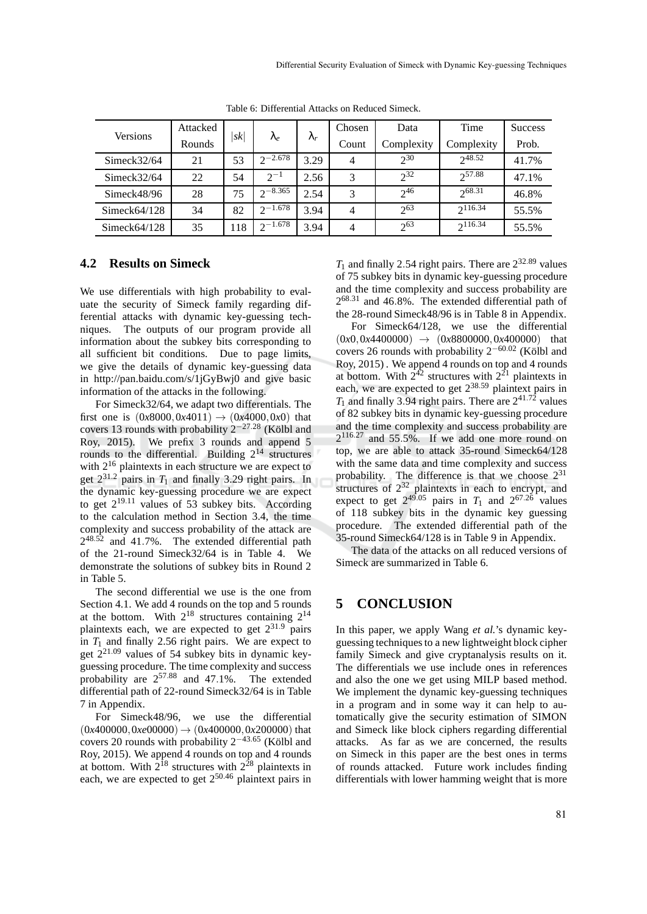| Versions        | Attacked | sk  | $\lambda_e$  |             | Chosen         | Data       | Time         | <b>Success</b> |
|-----------------|----------|-----|--------------|-------------|----------------|------------|--------------|----------------|
|                 | Rounds   |     |              | $\lambda_r$ | Count          | Complexity | Complexity   | Prob.          |
| Simeck $32/64$  | 21       | 53  | $2^{-2.678}$ | 3.29        | $\overline{4}$ | $2^{30}$   | $2^{48.52}$  | 41.7%          |
| Simeck $32/64$  | 22       | 54  | $2^{-1}$     | 2.56        | 3              | $2^{32}$   | $2^{57.88}$  | 47.1%          |
| Simeck48/96     | 28       | 75  | $2^{-8.365}$ | 2.54        | 3              | $2^{46}$   | 268.31       | 46.8%          |
| Simeck64/128    | 34       | 82  | $2^{-1.678}$ | 3.94        | $\overline{4}$ | $2^{63}$   | $2^{116.34}$ | 55.5%          |
| Simeck $64/128$ | 35       | 118 | $2^{-1.678}$ | 3.94        | $\overline{4}$ | $2^{63}$   | $2^{116.34}$ | 55.5%          |

Table 6: Differential Attacks on Reduced Simeck.

### **4.2 Results on Simeck**

We use differentials with high probability to evaluate the security of Simeck family regarding differential attacks with dynamic key-guessing techniques. The outputs of our program provide all information about the subkey bits corresponding to all sufficient bit conditions. Due to page limits, we give the details of dynamic key-guessing data in http://pan.baidu.com/s/1jGyBwj0 and give basic information of the attacks in the following.

For Simeck32/64, we adapt two differentials. The first one is  $(0x8000, 0x4011) \rightarrow (0x4000, 0x0)$  that covers 13 rounds with probability  $2^{-27.28}$  (Kölbl and Roy, 2015). We prefix 3 rounds and append 5 rounds to the differential. Building  $2^{14}$  structures with  $2^{16}$  plaintexts in each structure we are expect to get  $2^{31.2}$  pairs in  $T_1$  and finally 3.29 right pairs. In the dynamic key-guessing procedure we are expect to get  $2^{19.11}$  values of 53 subkey bits. According to the calculation method in Section 3.4, the time complexity and success probability of the attack are  $2^{48.52}$  and 41.7%. The extended differential path of the 21-round Simeck32/64 is in Table 4. We demonstrate the solutions of subkey bits in Round 2 in Table 5.

The second differential we use is the one from Section 4.1. We add 4 rounds on the top and 5 rounds at the bottom. With  $2^{18}$  structures containing  $2^{14}$ plaintexts each, we are expected to get  $2^{31.9}$  pairs in  $T_1$  and finally 2.56 right pairs. We are expect to get 221.<sup>09</sup> values of 54 subkey bits in dynamic keyguessing procedure. The time complexity and success probability are  $2^{57.88}$  and  $47.1\%$ . The extended differential path of 22-round Simeck32/64 is in Table 7 in Appendix.

For Simeck48/96, we use the differential  $(0x400000, 0xe00000) \rightarrow (0x400000, 0x200000)$  that covers 20 rounds with probability  $2^{-43.65}$  (Kölbl and Roy, 2015). We append 4 rounds on top and 4 rounds at bottom. With  $2^{18}$  structures with  $2^{28}$  plaintexts in each, we are expected to get  $2^{50.46}$  plaintext pairs in

 $T_1$  and finally 2.54 right pairs. There are  $2^{32.89}$  values of 75 subkey bits in dynamic key-guessing procedure and the time complexity and success probability are  $2^{68.31}$  and 46.8%. The extended differential path of the 28-round Simeck48/96 is in Table 8 in Appendix.

For Simeck64/128, we use the differential  $(0x0, 0x4400000) \rightarrow (0x8800000, 0x400000)$  that covers 26 rounds with probability  $2^{-60.02}$  (Kölbl and Roy, 2015) . We append 4 rounds on top and 4 rounds at bottom. With  $2^{42}$  structures with  $2^{21}$  plaintexts in each, we are expected to get  $2^{38.59}$  plaintext pairs in  $T_1$  and finally 3.94 right pairs. There are  $2^{41.72}$  values of 82 subkey bits in dynamic key-guessing procedure and the time complexity and success probability are 2 <sup>116</sup>.<sup>27</sup> and 55.5%. If we add one more round on top, we are able to attack 35-round Simeck64/128 with the same data and time complexity and success probability. The difference is that we choose  $2^{31}$ structures of  $2^{32}$  plaintexts in each to encrypt, and expect to get  $2^{49.05}$  pairs in  $T_1$  and  $2^{67.26}$  values of 118 subkey bits in the dynamic key guessing procedure. The extended differential path of the 35-round Simeck64/128 is in Table 9 in Appendix.

The data of the attacks on all reduced versions of Simeck are summarized in Table 6.

## **5 CONCLUSION**

In this paper, we apply Wang *et al.*'s dynamic keyguessing techniques to a new lightweight block cipher family Simeck and give cryptanalysis results on it. The differentials we use include ones in references and also the one we get using MILP based method. We implement the dynamic key-guessing techniques in a program and in some way it can help to automatically give the security estimation of SIMON and Simeck like block ciphers regarding differential attacks. As far as we are concerned, the results on Simeck in this paper are the best ones in terms of rounds attacked. Future work includes finding differentials with lower hamming weight that is more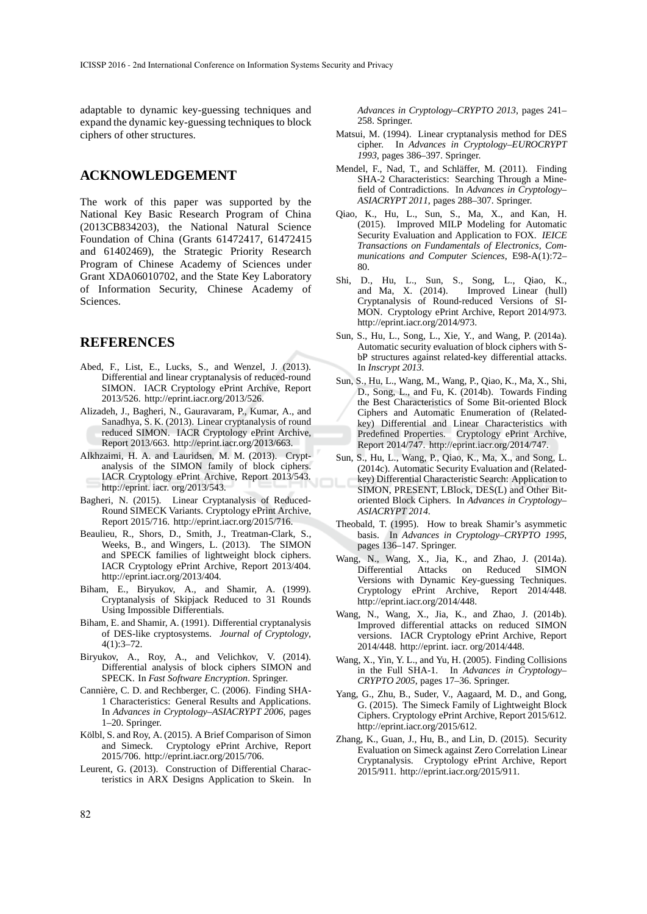adaptable to dynamic key-guessing techniques and expand the dynamic key-guessing techniques to block ciphers of other structures.

## **ACKNOWLEDGEMENT**

The work of this paper was supported by the National Key Basic Research Program of China (2013CB834203), the National Natural Science Foundation of China (Grants 61472417, 61472415 and 61402469), the Strategic Priority Research Program of Chinese Academy of Sciences under Grant XDA06010702, and the State Key Laboratory of Information Security, Chinese Academy of Sciences.

## **REFERENCES**

- Abed, F., List, E., Lucks, S., and Wenzel, J. (2013). Differential and linear cryptanalysis of reduced-round SIMON. IACR Cryptology ePrint Archive, Report 2013/526. http://eprint.iacr.org/2013/526.
- Alizadeh, J., Bagheri, N., Gauravaram, P., Kumar, A., and Sanadhya, S. K. (2013). Linear cryptanalysis of round reduced SIMON. IACR Cryptology ePrint Archive, Report 2013/663. http://eprint.iacr.org/2013/663.
- Alkhzaimi, H. A. and Lauridsen, M. M. (2013). Cryptanalysis of the SIMON family of block ciphers. IACR Cryptology ePrint Archive, Report 2013/543. http://eprint. iacr. org/2013/543.
- Bagheri, N. (2015). Linear Cryptanalysis of Reduced-Round SIMECK Variants. Cryptology ePrint Archive, Report 2015/716. http://eprint.iacr.org/2015/716.
- Beaulieu, R., Shors, D., Smith, J., Treatman-Clark, S., Weeks, B., and Wingers, L. (2013). The SIMON and SPECK families of lightweight block ciphers. IACR Cryptology ePrint Archive, Report 2013/404. http://eprint.iacr.org/2013/404.
- Biham, E., Biryukov, A., and Shamir, A. (1999). Cryptanalysis of Skipjack Reduced to 31 Rounds Using Impossible Differentials.
- Biham, E. and Shamir, A. (1991). Differential cryptanalysis of DES-like cryptosystems. *Journal of Cryptology*, 4(1):3–72.
- Biryukov, A., Roy, A., and Velichkov, V. (2014). Differential analysis of block ciphers SIMON and SPECK. In *Fast Software Encryption*. Springer.
- Cannière, C. D. and Rechberger, C. (2006). Finding SHA-1 Characteristics: General Results and Applications. In *Advances in Cryptology–ASIACRYPT 2006*, pages 1–20. Springer.
- Kölbl, S. and Roy, A. (2015). A Brief Comparison of Simon and Simeck. Cryptology ePrint Archive, Report 2015/706. http://eprint.iacr.org/2015/706.
- Leurent, G. (2013). Construction of Differential Characteristics in ARX Designs Application to Skein. In

*Advances in Cryptology–CRYPTO 2013*, pages 241– 258. Springer.

- Matsui, M. (1994). Linear cryptanalysis method for DES cipher. In *Advances in Cryptology–EUROCRYPT 1993*, pages 386–397. Springer.
- Mendel, F., Nad, T., and Schläffer, M. (2011). Finding SHA-2 Characteristics: Searching Through a Minefield of Contradictions. In *Advances in Cryptology– ASIACRYPT 2011*, pages 288–307. Springer.
- Qiao, K., Hu, L., Sun, S., Ma, X., and Kan, H. (2015). Improved MILP Modeling for Automatic Security Evaluation and Application to FOX. *IEICE Transactions on Fundamentals of Electronics, Communications and Computer Sciences*, E98-A(1):72– 80.
- Shi, D., Hu, L., Sun, S., Song, L., Qiao, K., and Ma, X. (2014). Improved Linear (hull) Cryptanalysis of Round-reduced Versions of SI-MON. Cryptology ePrint Archive, Report 2014/973. http://eprint.iacr.org/2014/973.
- Sun, S., Hu, L., Song, L., Xie, Y., and Wang, P. (2014a). Automatic security evaluation of block ciphers with SbP structures against related-key differential attacks. In *Inscrypt 2013*.
- Sun, S., Hu, L., Wang, M., Wang, P., Qiao, K., Ma, X., Shi, D., Song, L., and Fu, K. (2014b). Towards Finding the Best Characteristics of Some Bit-oriented Block Ciphers and Automatic Enumeration of (Relatedkey) Differential and Linear Characteristics with Predefined Properties. Cryptology ePrint Archive, Report 2014/747. http://eprint.iacr.org/2014/747.
- Sun, S., Hu, L., Wang, P., Qiao, K., Ma, X., and Song, L. (2014c). Automatic Security Evaluation and (Relatedkey) Differential Characteristic Search: Application to SIMON, PRESENT, LBlock, DES(L) and Other Bitoriented Block Ciphers. In *Advances in Cryptology– ASIACRYPT 2014*.
- Theobald, T. (1995). How to break Shamir's asymmetic basis. In *Advances in Cryptology–CRYPTO 1995*, pages 136–147. Springer.
- Wang, N., Wang, X., Jia, K., and Zhao, J. (2014a). Differential Attacks on Reduced SIMON Versions with Dynamic Key-guessing Techniques. Cryptology ePrint Archive, Report 2014/448. http://eprint.iacr.org/2014/448.
- Wang, N., Wang, X., Jia, K., and Zhao, J. (2014b). Improved differential attacks on reduced SIMON versions. IACR Cryptology ePrint Archive, Report 2014/448. http://eprint. iacr. org/2014/448.
- Wang, X., Yin, Y. L., and Yu, H. (2005). Finding Collisions in the Full SHA-1. In *Advances in Cryptology– CRYPTO 2005*, pages 17–36. Springer.
- Yang, G., Zhu, B., Suder, V., Aagaard, M. D., and Gong, G. (2015). The Simeck Family of Lightweight Block Ciphers. Cryptology ePrint Archive, Report 2015/612. http://eprint.iacr.org/2015/612.
- Zhang, K., Guan, J., Hu, B., and Lin, D. (2015). Security Evaluation on Simeck against Zero Correlation Linear Cryptanalysis. Cryptology ePrint Archive, Report 2015/911. http://eprint.iacr.org/2015/911.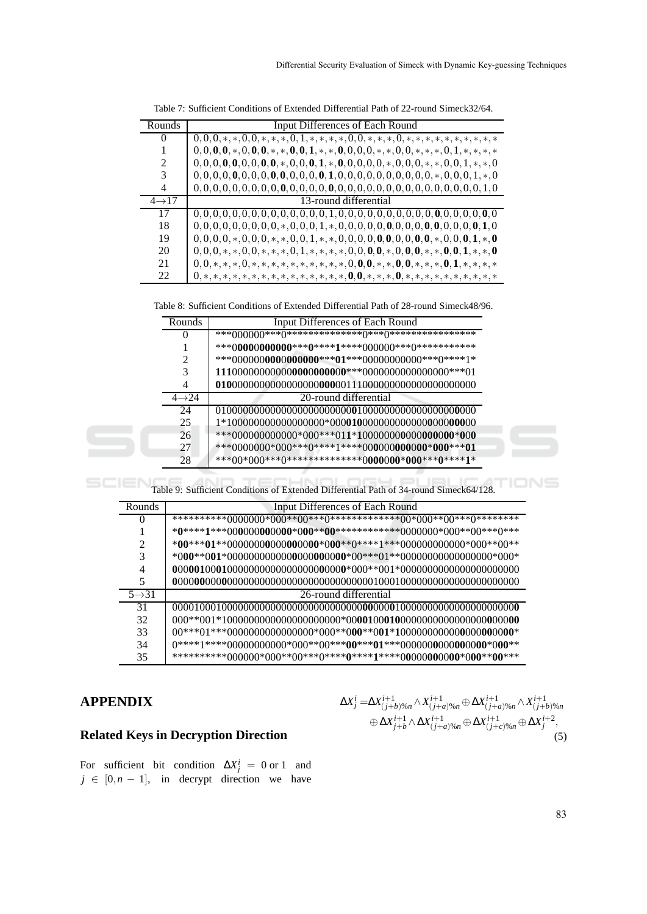| Rounds                      | <b>Input Differences of Each Round</b>                                                                                       |
|-----------------------------|------------------------------------------------------------------------------------------------------------------------------|
| 0                           |                                                                                                                              |
|                             | $0, 0, 0, 0, *, 0, 0, 0, *, *, 0, 0, 1, *, *, 0, 0, 0, 0, *, *, 0, 0, *, *, *, 0, 1, *, *, *, *$                             |
| $\mathcal{D}_{\mathcal{L}}$ | $0, 0, 0, 0, 0, 0, 0, 0, 0, \star, 0, 0, 0, 1, \star, 0, 0, 0, 0, 0, \star, 0, 0, 0, \star, \star, 0, 0, 1, \star, \star, 0$ |
| 3                           |                                                                                                                              |
| 4                           |                                                                                                                              |
| $4 \rightarrow 17$          | 13-round differential                                                                                                        |
| 17                          |                                                                                                                              |
| 18                          |                                                                                                                              |
| 19                          | $0,0,0,0,*$ , $0,0,0,*$ , $*,0,0,1,*$ , $*,0,0,0,0,0,0,0,0,0,0,*$ , $0,0,0,1,*$ , 0                                          |
| 20                          | $0,0,0,*$ , *, *, 0, 0, *, *, *, 0, 1, *, *, *, *, 0, 0, 0, 0, *, 0, 0, 0, *, *, 0, 0, 1, *, *, 0                            |
| 21                          | $0,0,*,*,*,0,*,*,*,*,*,*,*,*,*,*,0,0,0,*,*,0,0,*,*,*,0,1,*,*,*,*$                                                            |
| 22                          | $0,*,*,*,*,*,*,*,*,*,*,*,*,*,*,*,*,0,0,*,*,*,*,*,*,*,*,*,*,*,*,*,$                                                           |

| Table 7: Sufficient Conditions of Extended Differential Path of 22-round Simeck32/64. |  |
|---------------------------------------------------------------------------------------|--|
|---------------------------------------------------------------------------------------|--|

Table 8: Sufficient Conditions of Extended Differential Path of 28-round Simeck48/96.

| Rounds             | Input Differences of Each Round |
|--------------------|---------------------------------|
| $\mathbf{0}$       |                                 |
|                    |                                 |
|                    |                                 |
| 3                  |                                 |
| 4                  |                                 |
| $4 \rightarrow 24$ | 20-round differential           |
| 24                 |                                 |
| 25                 |                                 |
| 26                 |                                 |
| 27                 |                                 |
| 28                 |                                 |

Table 9: Sufficient Conditions of Extended Differential Path of 34-round Simeck64/128.

| Rounds             | <b>Input Differences of Each Round</b> |
|--------------------|----------------------------------------|
| $\mathbf{0}$       |                                        |
|                    |                                        |
| 2                  |                                        |
| 3                  |                                        |
| 4                  |                                        |
| 5                  |                                        |
| $5 \rightarrow 31$ | 26-round differential                  |
| 31                 |                                        |
| 32                 |                                        |
| 33                 |                                        |
| 34                 |                                        |
| 35                 |                                        |

# **APPENDIX**

 $\blacksquare$ 

# **Related Keys in Decryption Direction**

For sufficient bit condition  $\Delta X_j^i = 0$  or 1 and  $j \in [0, n - 1]$ , in decrypt direction we have

$$
\Delta X_j^i = \Delta X_{(j+b)\%n}^{i+1} \wedge X_{(j+a)\%n}^{i+1} \oplus \Delta X_{(j+a)\%n}^{i+1} \wedge X_{(j+b)\%n}^{i+1} \oplus \Delta X_{j+b}^{i+1} \wedge \Delta X_{(j+a)\%n}^{i+1} \oplus \Delta X_{(j+c)\%n}^{i+1} \oplus \Delta X_j^{i+2},
$$
\n(5)

TIONS